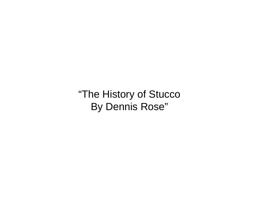"The History of Stucco By Dennis Rose"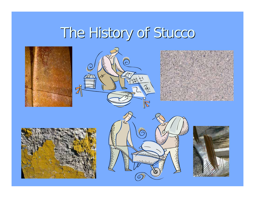# The History of Stucco











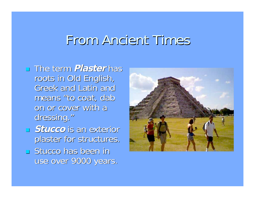## From Ancient Times

### **Example Steeds** Final **Plaster** has roots in Old English, roots in Old English, Greek and Latin and means "to coat, dab on or cover with a dressing."

- **Stucco** is an exterior plaster for structures.
- **Stucco has been in** use over 9000 years.

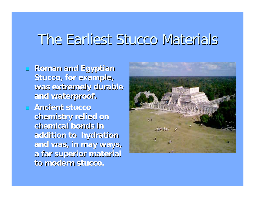## The Earliest Stucco Materials The Earliest Stucco Materials

- **Roman and Egyptian Roman and Egyptian Stucco, for example, Stucco, for example, was extremely durable was extremely durable and waterproof. and waterproof.**
- **Ancient stucco Ancient stucco chemistry relied on chemistry relied on chemical bonds in chemical bonds in addition to hydration addition to hydration and was, in may ways, and was, in may ways, a far superior material a far superior material to modern stucco. to modern stucco.**

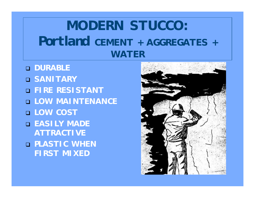## **MODERN STUCCO: Portland CEMENT + AGGREGATES + WATER**

 **DURABLE SANITARY FIRE RESISTANT LOW MAINTENANCE LOW COST EASILY MADE ATTRACTIVE PLASTIC WHEN FIRST MIXED**

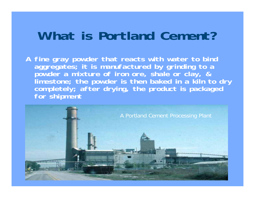## **What is Portland Cement?**

**A fine gray powder that reacts with water to bind aggregates; it is manufactured by grinding to a powder a mixture of iron ore, shale or clay, &** completely; after drying, the product is packaged **for shipment**

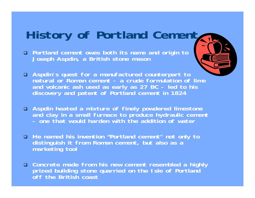## **History of Portland Cement**

 **Portland cement owes both its name and origin to Joseph Aspdin, a British stone mason**



- **Aspdin's quest for a manufactured counterpart to natural or Roman cement - a crude formulation of lime and volcanic ash used as early as 27 BC - led to his discovery and patent of Portland cement in 1824**
- **Aspdin heated a mixture of finely powdered limestone and clay in a small furnace to produce hydraulic cement - one that would harden with the addition of water**
- **He named his invention "Portland cement" not only to distinguish it from Roman cement, but also as a marketing tool**
- **Concrete made from his new cement resembled a highly prized building stone quarried on the Isle of Portland off the British coast**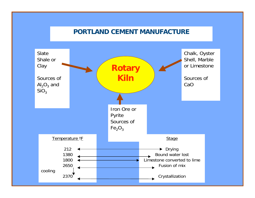#### **PORTLAND CEMENT MANUFACTURE**

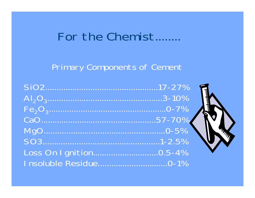## For the Chemist........

### **Primary Components of Cement**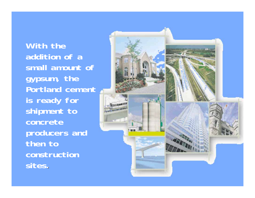**With the addition of a small amount of gypsum, the Portland cement is ready for shipment to concrete producers and then to construction sites.**

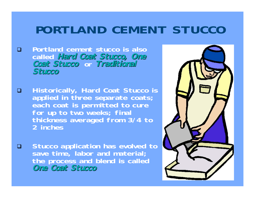## **PORTLAND CEMENT STUCCO**

- **Portland cement stucco is also called Hard Coat Stucco, One Hard Coat Stucco, One Coat Stucco Coat Stucco or Traditional Traditional Stucco**
- **Historically, Hard Coat Stucco is applied in three separate coats; each coat is permitted to cure for up to two weeks; final thickness averaged from 3/4 to 2 inches**
- **E** Stucco application has evolved to **save time, labor and material; the process and blend is called One Coat Stucco One Coat Stucco**

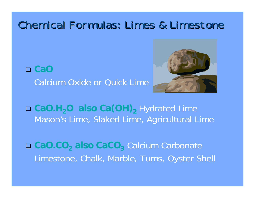### Chemical Formulas: Limes & Limestone

 **CaO** Calcium Oxide or Quick Lime



 **CaO.H <sup>2</sup>O also Ca(OH) <sup>2</sup>** Hydrated Lime Mason's Lime, Slaked Lime, Agricultural Lime

 **CaO.CO <sup>2</sup>also CaCO <sup>3</sup>** Calcium Carbonate Limestone, Chalk, Marble, Tums, Oyster Shell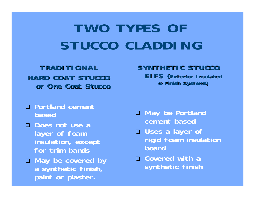# **TWO TYPES OF STUCCO CLADDING**

### **TRADITIONAL TRADITIONAL HARD COAT STUCCO HARD COAT STUCCO or One Coat Stucco or One Coat Stucco**

- **Portland cement based**
- **Does not use a layer of foam insulation, except for trim bands**
- **May be covered by a synthetic finish, paint or plaster.**

#### **SYNTHETIC STUCCO SYNTHETIC STUCCO EIFS (Exterior Insulated Exterior Insulated & Finish Systems) & Finish Systems)**

- **May be Portland cement based**
- **Uses a layer of rigid foam insulation board**
- **Covered with a synthetic finish**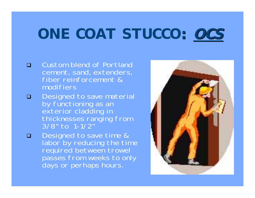# **ONE COAT STUCCO: OCS**

- **D** Custom blend of Portland cement, sand, extenders, fiber reinforcement & modifiers
- Designed to save material by functioning as an exterior cladding in thicknesses ranging from 3/8" to 1-1/2"
- Designed to save time &<br>labor by reducing the time required between trowel passes from weeks to only days or perhaps hours.

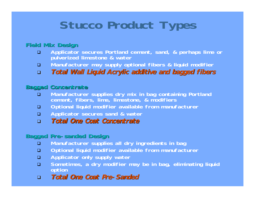## **Stucco Product Types**

#### **Field Mix Design Field Mix Design**

- **Applicator secures Portland cement, sand, & perhaps lime or pulverized limestone & water**
- **Manufacturer may supply optional fibers & liquid modifier**
- **Total Wall Liquid Acrylic additive and bagged fibers Total Wall Liquid Acrylic additive and bagged fibers**

#### **Bagged Concentrate Bagged Concentrate**

- **Manufacturer supplies dry mix in bag containing Portland cement, fibers, lime, limestone, & modifiers**
- **Optional liquid modifier available from manufacturer**
- **Applicator secures sand & water**
- **Total One Coat Concentrate Total One Coat Concentrate**

#### **Bagged Pre-sanded Design Bagged Pre-sanded Design**

- **Manufacturer supplies all dry ingredients in bag**
- **Optional liquid modifier available from manufacturer**
- **Applicator only supply water**
- **Sometimes, a dry modifier may be in bag, eliminating liquid option**
- **Total One Coat Pre-Sanded Total One Coat Pre-Sanded**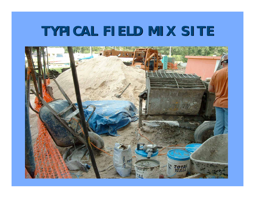## **TYPICAL FIELD MIX SITE TYPICAL FIELD MIX SITE**

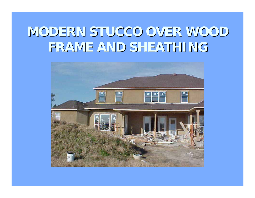## **MODERN STUCCO OVER WOOD MODERN STUCCO OVER WOOD FRAME AND SHEATHING FRAME AND SHEATHING**